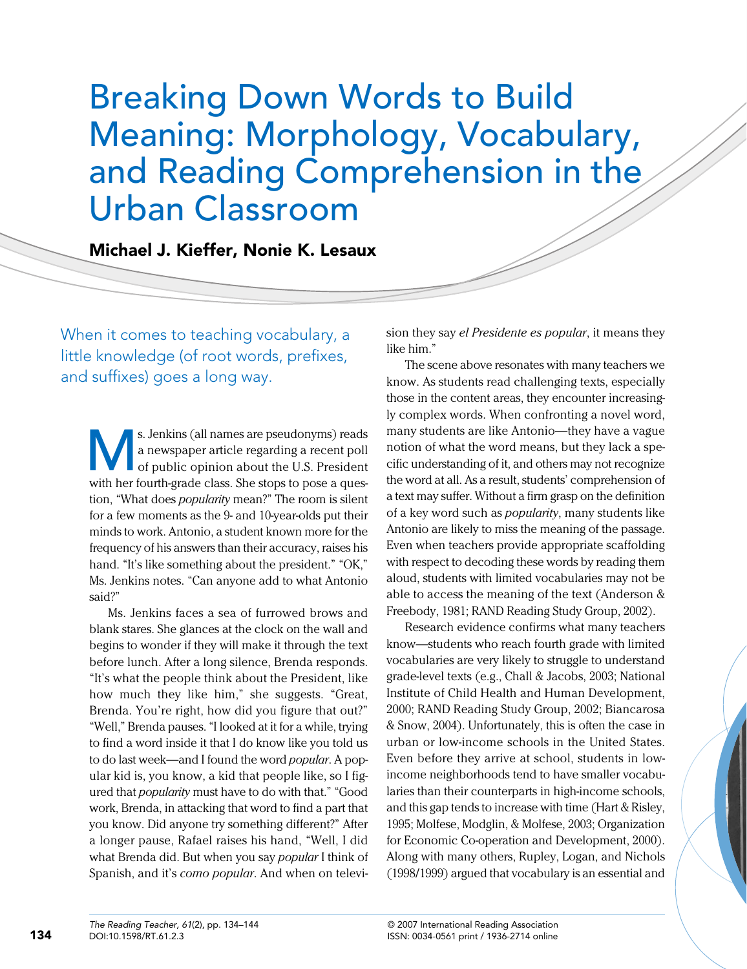# Breaking Down Words to Build Meaning: Morphology, Vocabulary, and Reading Comprehension in the Urban Classroom

Michael J. Kieffer, Nonie K. Lesaux

When it comes to teaching vocabulary, a little knowledge (of root words, prefixes, and suffixes) goes a long way.

s. Jenkins (all names are pseudonyms) reads<br>a newspaper article regarding a recent poll<br>of public opinion about the U.S. President<br>with her fourth-grade class. She stops to pose a quesa newspaper article regarding a recent poll of public opinion about the U.S. President with her fourth-grade class. She stops to pose a question, "What does *popularity* mean?" The room is silent for a few moments as the 9- and 10-year-olds put their minds to work. Antonio, a student known more for the frequency of his answers than their accuracy, raises his hand. "It's like something about the president." "OK," Ms. Jenkins notes. "Can anyone add to what Antonio said?"

Ms. Jenkins faces a sea of furrowed brows and blank stares. She glances at the clock on the wall and begins to wonder if they will make it through the text before lunch. After a long silence, Brenda responds. "It's what the people think about the President, like how much they like him," she suggests. "Great, Brenda. You're right, how did you figure that out?" "Well," Brenda pauses. "I looked at it for a while, trying to find a word inside it that I do know like you told us to do last week—and I found the word *popular*. A popular kid is, you know, a kid that people like, so I figured that *popularity* must have to do with that." "Good work, Brenda, in attacking that word to find a part that you know. Did anyone try something different?" After a longer pause, Rafael raises his hand, "Well, I did what Brenda did. But when you say *popular* I think of Spanish, and it's *como popular*. And when on television they say *el Presidente es popular*, it means they like him."

The scene above resonates with many teachers we know. As students read challenging texts, especially those in the content areas, they encounter increasingly complex words. When confronting a novel word, many students are like Antonio—they have a vague notion of what the word means, but they lack a specific understanding of it, and others may not recognize the word at all. As a result, students' comprehension of a text may suffer. Without a firm grasp on the definition of a key word such as *popularity*, many students like Antonio are likely to miss the meaning of the passage. Even when teachers provide appropriate scaffolding with respect to decoding these words by reading them aloud, students with limited vocabularies may not be able to access the meaning of the text (Anderson & Freebody, 1981; RAND Reading Study Group, 2002).

Research evidence confirms what many teachers know—students who reach fourth grade with limited vocabularies are very likely to struggle to understand grade-level texts (e.g., Chall & Jacobs, 2003; National Institute of Child Health and Human Development, 2000; RAND Reading Study Group, 2002; Biancarosa & Snow, 2004). Unfortunately, this is often the case in urban or low-income schools in the United States. Even before they arrive at school, students in lowincome neighborhoods tend to have smaller vocabularies than their counterparts in high-income schools, and this gap tends to increase with time (Hart & Risley, 1995; Molfese, Modglin, & Molfese, 2003; Organization for Economic Co-operation and Development, 2000). Along with many others, Rupley, Logan, and Nichols (1998/1999) argued that vocabulary is an essential and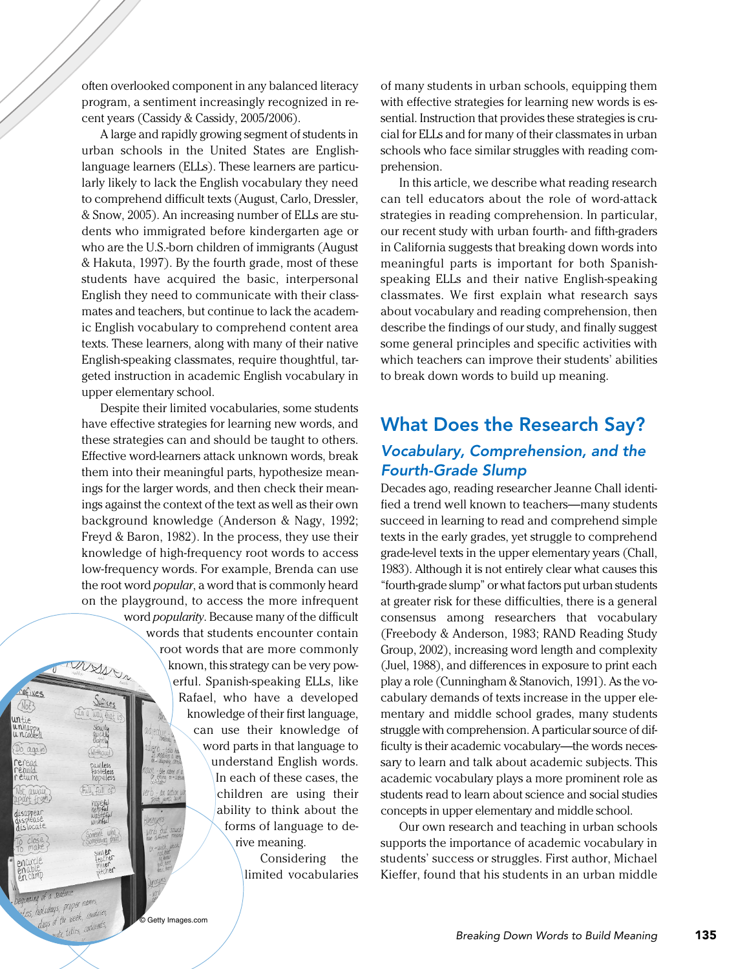often overlooked component in any balanced literacy program, a sentiment increasingly recognized in recent years (Cassidy & Cassidy, 2005/2006).

A large and rapidly growing segment of students in urban schools in the United States are Englishlanguage learners (ELLs). These learners are particularly likely to lack the English vocabulary they need to comprehend difficult texts (August, Carlo, Dressler, & Snow, 2005). An increasing number of ELLs are students who immigrated before kindergarten age or who are the U.S.-born children of immigrants (August & Hakuta, 1997). By the fourth grade, most of these students have acquired the basic, interpersonal English they need to communicate with their classmates and teachers, but continue to lack the academic English vocabulary to comprehend content area texts. These learners, along with many of their native English-speaking classmates, require thoughtful, targeted instruction in academic English vocabulary in upper elementary school.

Despite their limited vocabularies, some students have effective strategies for learning new words, and these strategies can and should be taught to others. Effective word-learners attack unknown words, break them into their meaningful parts, hypothesize meanings for the larger words, and then check their meanings against the context of the text as well as their own background knowledge (Anderson & Nagy, 1992; Freyd & Baron, 1982). In the process, they use their knowledge of high-frequency root words to access low-frequency words. For example, Brenda can use the root word *popular*, a word that is commonly heard on the playground, to access the more infrequent

> word *popularity*. Because many of the difficult words that students encounter contain root words that are more commonly known, this strategy can be very powerful. Spanish-speaking ELLs, like Rafael, who have a developed knowledge of their first language, can use their knowledge of word parts in that language to understand English words. In each of these cases, the children are using their ability to think about the forms of language to derive meaning.

> > Considering the limited vocabularies

of many students in urban schools, equipping them with effective strategies for learning new words is essential. Instruction that provides these strategies is crucial for ELLs and for many of their classmates in urban schools who face similar struggles with reading comprehension.

In this article, we describe what reading research can tell educators about the role of word-attack strategies in reading comprehension. In particular, our recent study with urban fourth- and fifth-graders in California suggests that breaking down words into meaningful parts is important for both Spanishspeaking ELLs and their native English-speaking classmates. We first explain what research says about vocabulary and reading comprehension, then describe the findings of our study, and finally suggest some general principles and specific activities with which teachers can improve their students' abilities to break down words to build up meaning.

# What Does the Research Say?

### Vocabulary, Comprehension, and the Fourth-Grade Slump

Decades ago, reading researcher Jeanne Chall identified a trend well known to teachers—many students succeed in learning to read and comprehend simple texts in the early grades, yet struggle to comprehend grade-level texts in the upper elementary years (Chall, 1983). Although it is not entirely clear what causes this "fourth-grade slump" or what factors put urban students at greater risk for these difficulties, there is a general consensus among researchers that vocabulary (Freebody & Anderson, 1983; RAND Reading Study Group, 2002), increasing word length and complexity (Juel, 1988), and differences in exposure to print each play a role (Cunningham & Stanovich, 1991). As the vocabulary demands of texts increase in the upper elementary and middle school grades, many students struggle with comprehension. A particular source of difficulty is their academic vocabulary—the words necessary to learn and talk about academic subjects. This academic vocabulary plays a more prominent role as students read to learn about science and social studies concepts in upper elementary and middle school.

Our own research and teaching in urban schools supports the importance of academic vocabulary in students' success or struggles. First author, Michael Kieffer, found that his students in an urban middle

Xst

Surines

In a way that Slowly<br>qwckly<br>tightly

Without

paintess<br>Hasteless<br>hopeless

Full, full of

unq J sing er<br>teacher<br>mixer<br>pitcher

refixes

 $\overline{AB}$ 

LNMap uncooked Do again

reread

eturn ot aw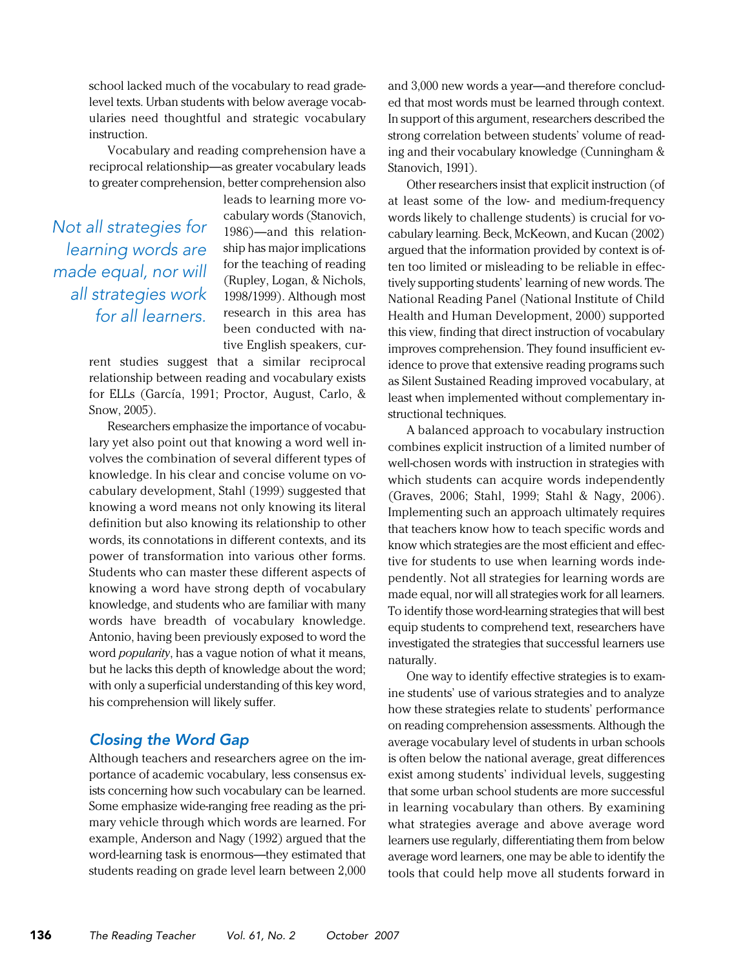school lacked much of the vocabulary to read gradelevel texts. Urban students with below average vocabularies need thoughtful and strategic vocabulary instruction.

Vocabulary and reading comprehension have a reciprocal relationship—as greater vocabulary leads to greater comprehension, better comprehension also

Not all strategies for learning words are made equal, nor will all strategies work for all learners.

leads to learning more vocabulary words (Stanovich, 1986)—and this relationship has major implications for the teaching of reading (Rupley, Logan, & Nichols, 1998/1999). Although most research in this area has been conducted with native English speakers, cur-

rent studies suggest that a similar reciprocal relationship between reading and vocabulary exists for ELLs (García, 1991; Proctor, August, Carlo, & Snow, 2005).

Researchers emphasize the importance of vocabulary yet also point out that knowing a word well involves the combination of several different types of knowledge. In his clear and concise volume on vocabulary development, Stahl (1999) suggested that knowing a word means not only knowing its literal definition but also knowing its relationship to other words, its connotations in different contexts, and its power of transformation into various other forms. Students who can master these different aspects of knowing a word have strong depth of vocabulary knowledge, and students who are familiar with many words have breadth of vocabulary knowledge. Antonio, having been previously exposed to word the word *popularity*, has a vague notion of what it means, but he lacks this depth of knowledge about the word; with only a superficial understanding of this key word, his comprehension will likely suffer.

#### Closing the Word Gap

Although teachers and researchers agree on the importance of academic vocabulary, less consensus exists concerning how such vocabulary can be learned. Some emphasize wide-ranging free reading as the primary vehicle through which words are learned. For example, Anderson and Nagy (1992) argued that the word-learning task is enormous—they estimated that students reading on grade level learn between 2,000 and 3,000 new words a year—and therefore concluded that most words must be learned through context. In support of this argument, researchers described the strong correlation between students' volume of reading and their vocabulary knowledge (Cunningham & Stanovich, 1991).

Other researchers insist that explicit instruction (of at least some of the low- and medium-frequency words likely to challenge students) is crucial for vocabulary learning. Beck, McKeown, and Kucan (2002) argued that the information provided by context is often too limited or misleading to be reliable in effectively supporting students' learning of new words. The National Reading Panel (National Institute of Child Health and Human Development, 2000) supported this view, finding that direct instruction of vocabulary improves comprehension. They found insufficient evidence to prove that extensive reading programs such as Silent Sustained Reading improved vocabulary, at least when implemented without complementary instructional techniques.

A balanced approach to vocabulary instruction combines explicit instruction of a limited number of well-chosen words with instruction in strategies with which students can acquire words independently (Graves, 2006; Stahl, 1999; Stahl & Nagy, 2006). Implementing such an approach ultimately requires that teachers know how to teach specific words and know which strategies are the most efficient and effective for students to use when learning words independently. Not all strategies for learning words are made equal, nor will all strategies work for all learners. To identify those word-learning strategies that will best equip students to comprehend text, researchers have investigated the strategies that successful learners use naturally.

One way to identify effective strategies is to examine students' use of various strategies and to analyze how these strategies relate to students' performance on reading comprehension assessments. Although the average vocabulary level of students in urban schools is often below the national average, great differences exist among students' individual levels, suggesting that some urban school students are more successful in learning vocabulary than others. By examining what strategies average and above average word learners use regularly, differentiating them from below average word learners, one may be able to identify the tools that could help move all students forward in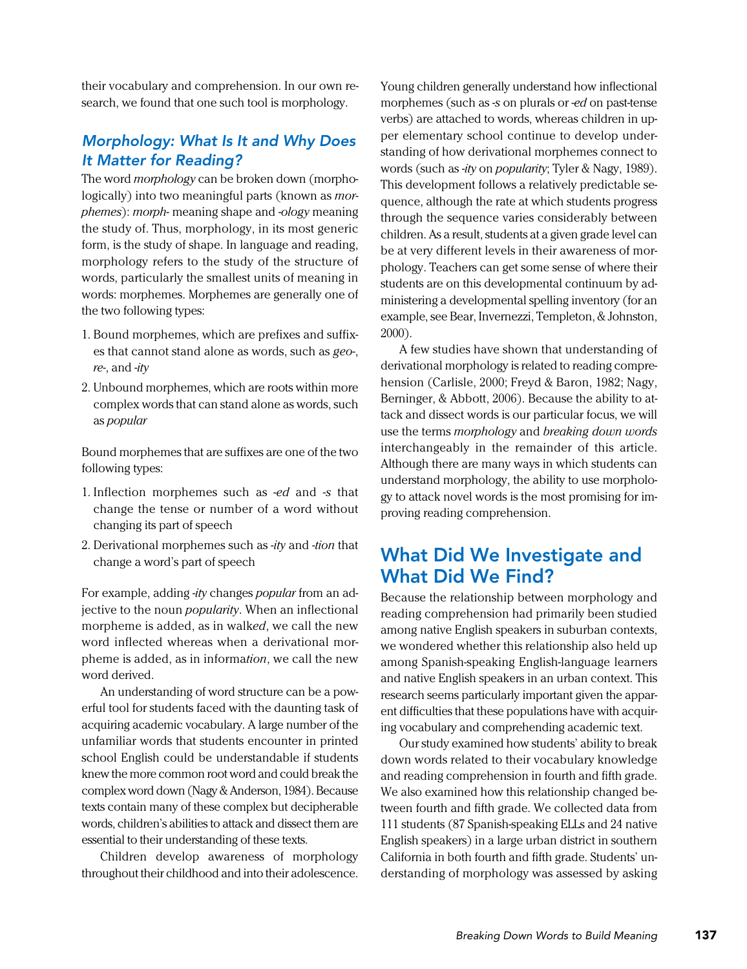their vocabulary and comprehension. In our own research, we found that one such tool is morphology.

#### Morphology: What Is It and Why Does It Matter for Reading?

The word *morphology* can be broken down (morphologically) into two meaningful parts (known as *morphemes*): *morph*- meaning shape and -*ology* meaning the study of. Thus, morphology, in its most generic form, is the study of shape. In language and reading, morphology refers to the study of the structure of words, particularly the smallest units of meaning in words: morphemes. Morphemes are generally one of the two following types:

- 1. Bound morphemes, which are prefixes and suffixes that cannot stand alone as words, such as *geo*-, *re*-, and -*ity*
- 2. Unbound morphemes, which are roots within more complex words that can stand alone as words, such as *popular*

Bound morphemes that are suffixes are one of the two following types:

- 1. Inflection morphemes such as -*ed* and -*s* that change the tense or number of a word without changing its part of speech
- 2. Derivational morphemes such as -*ity* and -*tion* that change a word's part of speech

For example, adding -*ity* changes *popular* from an adjective to the noun *popularity*. When an inflectional morpheme is added, as in walk*ed*, we call the new word inflected whereas when a derivational morpheme is added, as in informa*tion*, we call the new word derived.

An understanding of word structure can be a powerful tool for students faced with the daunting task of acquiring academic vocabulary. A large number of the unfamiliar words that students encounter in printed school English could be understandable if students knew the more common root word and could break the complex word down (Nagy & Anderson, 1984). Because texts contain many of these complex but decipherable words, children's abilities to attack and dissect them are essential to their understanding of these texts.

Children develop awareness of morphology throughout their childhood and into their adolescence.

Young children generally understand how inflectional morphemes (such as -*s* on plurals or -*ed* on past-tense verbs) are attached to words, whereas children in upper elementary school continue to develop understanding of how derivational morphemes connect to words (such as -*ity* on *popularity*; Tyler & Nagy, 1989). This development follows a relatively predictable sequence, although the rate at which students progress through the sequence varies considerably between children. As a result, students at a given grade level can be at very different levels in their awareness of morphology. Teachers can get some sense of where their students are on this developmental continuum by administering a developmental spelling inventory (for an example, see Bear, Invernezzi, Templeton, & Johnston, 2000).

A few studies have shown that understanding of derivational morphology is related to reading comprehension (Carlisle, 2000; Freyd & Baron, 1982; Nagy, Berninger, & Abbott, 2006). Because the ability to attack and dissect words is our particular focus, we will use the terms *morphology* and *breaking down words* interchangeably in the remainder of this article. Although there are many ways in which students can understand morphology, the ability to use morphology to attack novel words is the most promising for improving reading comprehension.

# What Did We Investigate and What Did We Find?

Because the relationship between morphology and reading comprehension had primarily been studied among native English speakers in suburban contexts, we wondered whether this relationship also held up among Spanish-speaking English-language learners and native English speakers in an urban context. This research seems particularly important given the apparent difficulties that these populations have with acquiring vocabulary and comprehending academic text.

Our study examined how students' ability to break down words related to their vocabulary knowledge and reading comprehension in fourth and fifth grade. We also examined how this relationship changed between fourth and fifth grade. We collected data from 111 students (87 Spanish-speaking ELLs and 24 native English speakers) in a large urban district in southern California in both fourth and fifth grade. Students' understanding of morphology was assessed by asking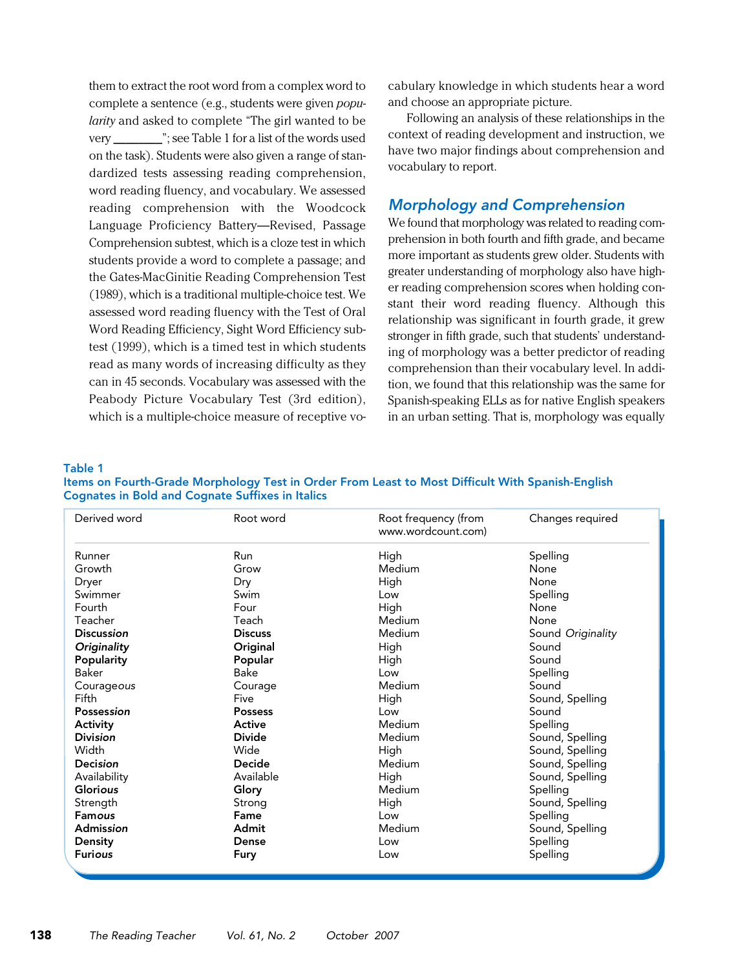them to extract the root word from a complex word to complete a sentence (e.g., students were given *popularity* and asked to complete "The girl wanted to be very \_\_\_\_\_\_\_\_"; see Table 1 for a list of the words used on the task). Students were also given a range of standardized tests assessing reading comprehension, word reading fluency, and vocabulary. We assessed reading comprehension with the Woodcock Language Proficiency Battery—Revised, Passage Comprehension subtest, which is a cloze test in which students provide a word to complete a passage; and the Gates-MacGinitie Reading Comprehension Test (1989), which is a traditional multiple-choice test. We assessed word reading fluency with the Test of Oral Word Reading Efficiency, Sight Word Efficiency subtest (1999), which is a timed test in which students read as many words of increasing difficulty as they can in 45 seconds. Vocabulary was assessed with the Peabody Picture Vocabulary Test (3rd edition), which is a multiple-choice measure of receptive vocabulary knowledge in which students hear a word and choose an appropriate picture.

Following an analysis of these relationships in the context of reading development and instruction, we have two major findings about comprehension and vocabulary to report.

#### Morphology and Comprehension

We found that morphology was related to reading comprehension in both fourth and fifth grade, and became more important as students grew older. Students with greater understanding of morphology also have higher reading comprehension scores when holding constant their word reading fluency. Although this relationship was significant in fourth grade, it grew stronger in fifth grade, such that students' understanding of morphology was a better predictor of reading comprehension than their vocabulary level. In addition, we found that this relationship was the same for Spanish-speaking ELLs as for native English speakers in an urban setting. That is, morphology was equally

#### Table 1 Items on Fourth-Grade Morphology Test in Order From Least to Most Difficult With Spanish-English Cognates in Bold and Cognate Suffixes in Italics

| Derived word      | Root word      | Root frequency (from<br>www.wordcount.com) | Changes required  |
|-------------------|----------------|--------------------------------------------|-------------------|
| Runner            | Run            | High                                       | Spelling          |
| Growth            | Grow           | Medium                                     | None              |
| Dryer             | Dry            | High                                       | None              |
| Swimmer           | Swim           | Low                                        | Spelling          |
| Fourth            | Four           | High                                       | None              |
| Teacher           | Teach          | Medium                                     | None              |
| <b>Discussion</b> | <b>Discuss</b> | Medium                                     | Sound Originality |
| Originality       | Original       | High                                       | Sound             |
| Popularity        | Popular        | High                                       | Sound             |
| Baker             | <b>Bake</b>    | Low                                        | Spelling          |
| Courageous        | Courage        | Medium                                     | Sound             |
| <b>Fifth</b>      | Five           | High                                       | Sound, Spelling   |
| Possession        | <b>Possess</b> | Low                                        | Sound             |
| Activity          | Active         | Medium                                     | Spelling          |
| <b>Division</b>   | <b>Divide</b>  | Medium                                     | Sound, Spelling   |
| Width             | Wide           | High                                       | Sound, Spelling   |
| Decision          | <b>Decide</b>  | Medium                                     | Sound, Spelling   |
| Availability      | Available      | High                                       | Sound, Spelling   |
| Glorious          | Glory          | Medium                                     | Spelling          |
| Strength          | Strong         | High                                       | Sound, Spelling   |
| Famous            | Fame           | Low                                        | Spelling          |
| Admission         | Admit          | Medium                                     | Sound, Spelling   |
| Density           | Dense          | Low                                        | Spelling          |
| <b>Furious</b>    | Fury           | Low                                        | Spelling          |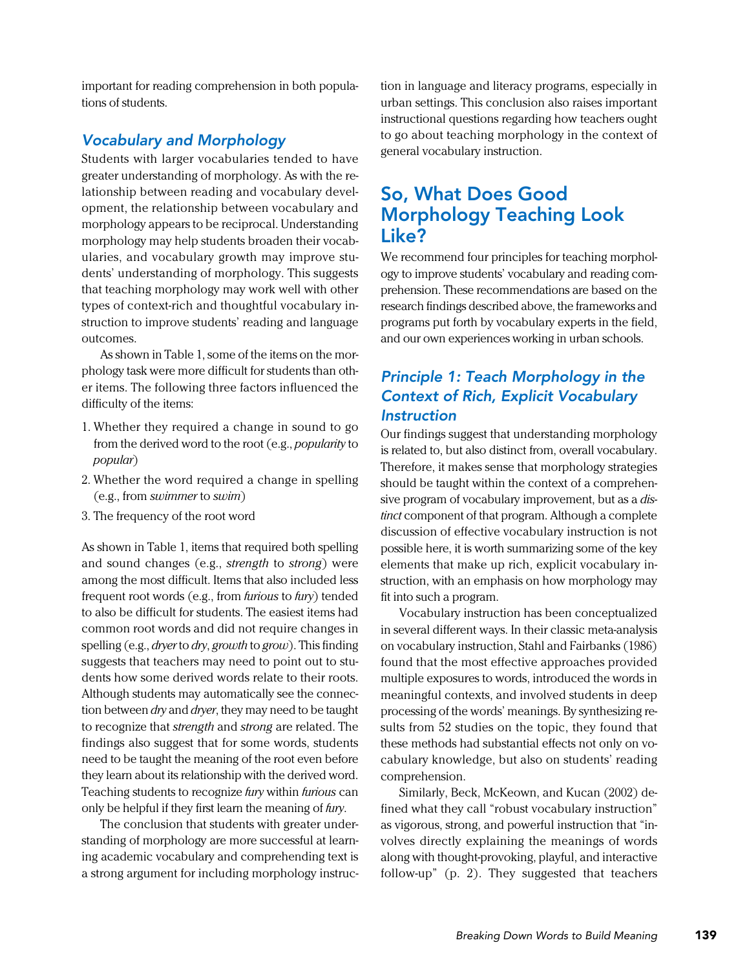important for reading comprehension in both populations of students.

#### Vocabulary and Morphology

Students with larger vocabularies tended to have greater understanding of morphology. As with the relationship between reading and vocabulary development, the relationship between vocabulary and morphology appears to be reciprocal. Understanding morphology may help students broaden their vocabularies, and vocabulary growth may improve students' understanding of morphology. This suggests that teaching morphology may work well with other types of context-rich and thoughtful vocabulary instruction to improve students' reading and language outcomes.

As shown in Table 1, some of the items on the morphology task were more difficult for students than other items. The following three factors influenced the difficulty of the items:

- 1. Whether they required a change in sound to go from the derived word to the root (e.g., *popularity* to *popular*)
- 2. Whether the word required a change in spelling (e.g., from *swimmer* to *swim*)
- 3. The frequency of the root word

As shown in Table 1, items that required both spelling and sound changes (e.g., *strength* to *strong*) were among the most difficult. Items that also included less frequent root words (e.g., from *furious* to *fury*) tended to also be difficult for students. The easiest items had common root words and did not require changes in spelling (e.g., *dryer* to *dry*, *growth* to *grow*). This finding suggests that teachers may need to point out to students how some derived words relate to their roots. Although students may automatically see the connection between *dry* and *dryer*, they may need to be taught to recognize that *strength* and *strong* are related. The findings also suggest that for some words, students need to be taught the meaning of the root even before they learn about its relationship with the derived word. Teaching students to recognize *fury* within *furious* can only be helpful if they first learn the meaning of *fury*.

The conclusion that students with greater understanding of morphology are more successful at learning academic vocabulary and comprehending text is a strong argument for including morphology instruction in language and literacy programs, especially in urban settings. This conclusion also raises important instructional questions regarding how teachers ought to go about teaching morphology in the context of general vocabulary instruction.

# So, What Does Good Morphology Teaching Look Like?

We recommend four principles for teaching morphology to improve students' vocabulary and reading comprehension. These recommendations are based on the research findings described above, the frameworks and programs put forth by vocabulary experts in the field, and our own experiences working in urban schools.

## Principle 1: Teach Morphology in the Context of Rich, Explicit Vocabulary **Instruction**

Our findings suggest that understanding morphology is related to, but also distinct from, overall vocabulary. Therefore, it makes sense that morphology strategies should be taught within the context of a comprehensive program of vocabulary improvement, but as a *distinct* component of that program. Although a complete discussion of effective vocabulary instruction is not possible here, it is worth summarizing some of the key elements that make up rich, explicit vocabulary instruction, with an emphasis on how morphology may fit into such a program.

Vocabulary instruction has been conceptualized in several different ways. In their classic meta-analysis on vocabulary instruction, Stahl and Fairbanks (1986) found that the most effective approaches provided multiple exposures to words, introduced the words in meaningful contexts, and involved students in deep processing of the words' meanings. By synthesizing results from 52 studies on the topic, they found that these methods had substantial effects not only on vocabulary knowledge, but also on students' reading comprehension.

Similarly, Beck, McKeown, and Kucan (2002) defined what they call "robust vocabulary instruction" as vigorous, strong, and powerful instruction that "involves directly explaining the meanings of words along with thought-provoking, playful, and interactive follow-up" (p. 2). They suggested that teachers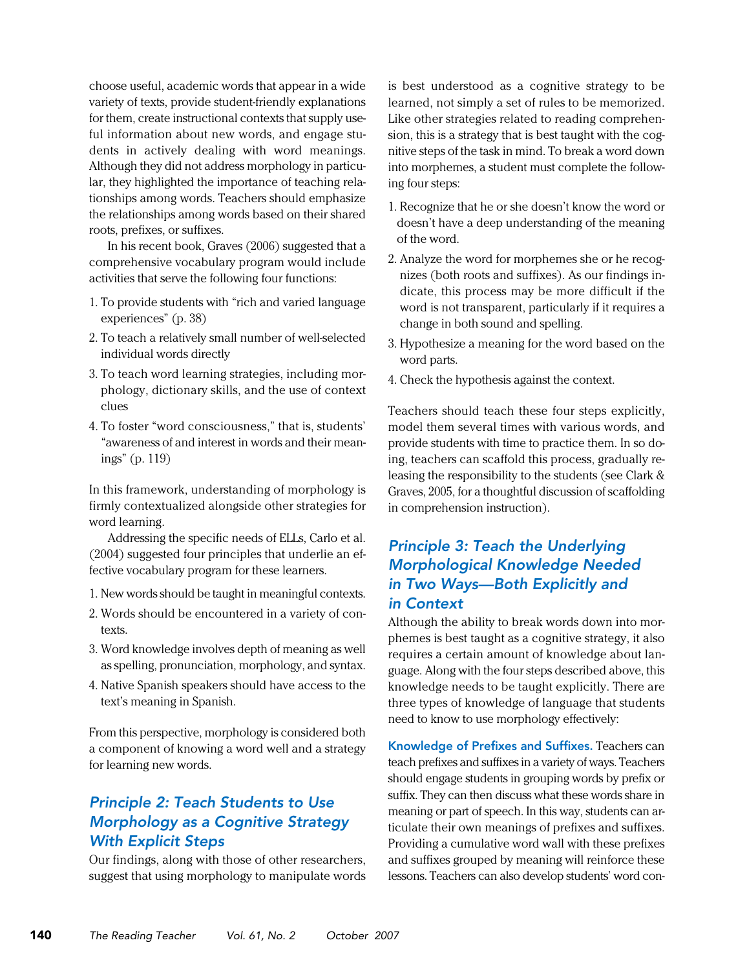choose useful, academic words that appear in a wide variety of texts, provide student-friendly explanations for them, create instructional contexts that supply useful information about new words, and engage students in actively dealing with word meanings. Although they did not address morphology in particular, they highlighted the importance of teaching relationships among words. Teachers should emphasize the relationships among words based on their shared roots, prefixes, or suffixes.

In his recent book, Graves (2006) suggested that a comprehensive vocabulary program would include activities that serve the following four functions:

- 1. To provide students with "rich and varied language experiences" (p. 38)
- 2. To teach a relatively small number of well-selected individual words directly
- 3. To teach word learning strategies, including morphology, dictionary skills, and the use of context clues
- 4. To foster "word consciousness," that is, students' "awareness of and interest in words and their meanings" (p. 119)

In this framework, understanding of morphology is firmly contextualized alongside other strategies for word learning.

Addressing the specific needs of ELLs, Carlo et al. (2004) suggested four principles that underlie an effective vocabulary program for these learners.

- 1. New words should be taught in meaningful contexts.
- 2. Words should be encountered in a variety of contexts.
- 3. Word knowledge involves depth of meaning as well as spelling, pronunciation, morphology, and syntax.
- 4. Native Spanish speakers should have access to the text's meaning in Spanish.

From this perspective, morphology is considered both a component of knowing a word well and a strategy for learning new words.

## Principle 2: Teach Students to Use Morphology as a Cognitive Strategy With Explicit Steps

Our findings, along with those of other researchers, suggest that using morphology to manipulate words is best understood as a cognitive strategy to be learned, not simply a set of rules to be memorized. Like other strategies related to reading comprehension, this is a strategy that is best taught with the cognitive steps of the task in mind. To break a word down into morphemes, a student must complete the following four steps:

- 1. Recognize that he or she doesn't know the word or doesn't have a deep understanding of the meaning of the word.
- 2. Analyze the word for morphemes she or he recognizes (both roots and suffixes). As our findings indicate, this process may be more difficult if the word is not transparent, particularly if it requires a change in both sound and spelling.
- 3. Hypothesize a meaning for the word based on the word parts.
- 4. Check the hypothesis against the context.

Teachers should teach these four steps explicitly, model them several times with various words, and provide students with time to practice them. In so doing, teachers can scaffold this process, gradually releasing the responsibility to the students (see Clark & Graves, 2005, for a thoughtful discussion of scaffolding in comprehension instruction).

## Principle 3: Teach the Underlying Morphological Knowledge Needed in Two Ways—Both Explicitly and in Context

Although the ability to break words down into morphemes is best taught as a cognitive strategy, it also requires a certain amount of knowledge about language. Along with the four steps described above, this knowledge needs to be taught explicitly. There are three types of knowledge of language that students need to know to use morphology effectively:

Knowledge of Prefixes and Suffixes. Teachers can teach prefixes and suffixes in a variety of ways. Teachers should engage students in grouping words by prefix or suffix. They can then discuss what these words share in meaning or part of speech. In this way, students can articulate their own meanings of prefixes and suffixes. Providing a cumulative word wall with these prefixes and suffixes grouped by meaning will reinforce these lessons. Teachers can also develop students' word con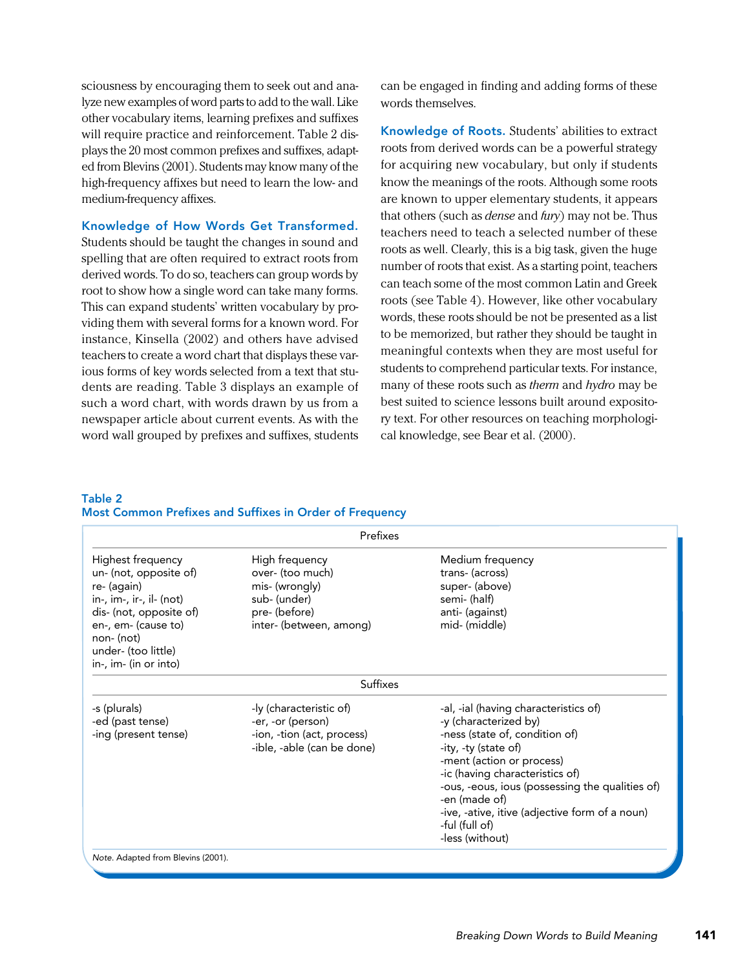sciousness by encouraging them to seek out and analyze new examples of word parts to add to the wall. Like other vocabulary items, learning prefixes and suffixes will require practice and reinforcement. Table 2 displays the 20 most common prefixes and suffixes, adapted from Blevins (2001). Students may know many of the high-frequency affixes but need to learn the low- and medium-frequency affixes.

#### Knowledge of How Words Get Transformed.

Students should be taught the changes in sound and spelling that are often required to extract roots from derived words. To do so, teachers can group words by root to show how a single word can take many forms. This can expand students' written vocabulary by providing them with several forms for a known word. For instance, Kinsella (2002) and others have advised teachers to create a word chart that displays these various forms of key words selected from a text that students are reading. Table 3 displays an example of such a word chart, with words drawn by us from a newspaper article about current events. As with the word wall grouped by prefixes and suffixes, students can be engaged in finding and adding forms of these words themselves.

Knowledge of Roots. Students' abilities to extract roots from derived words can be a powerful strategy for acquiring new vocabulary, but only if students know the meanings of the roots. Although some roots are known to upper elementary students, it appears that others (such as *dense* and *fury*) may not be. Thus teachers need to teach a selected number of these roots as well. Clearly, this is a big task, given the huge number of roots that exist. As a starting point, teachers can teach some of the most common Latin and Greek roots (see Table 4). However, like other vocabulary words, these roots should be not be presented as a list to be memorized, but rather they should be taught in meaningful contexts when they are most useful for students to comprehend particular texts. For instance, many of these roots such as *therm* and *hydro* may be best suited to science lessons built around expository text. For other resources on teaching morphological knowledge, see Bear et al. (2000).

#### Table 2 Most Common Prefixes and Suffixes in Order of Frequency

| Medium frequency<br>High frequency<br>over- (too much)<br>trans- (across)<br>mis- (wrongly)<br>super- (above)<br>sub- (under)<br>semi- (half)<br>pre-(before)<br>anti- (against)<br>mid- (middle)<br>inter- (between, among)<br><b>Suffixes</b><br>-al, -ial (having characteristics of)<br>-ly (characteristic of)<br>-y (characterized by)<br>-er, -or (person)<br>-ness (state of, condition of)<br>-ion, -tion (act, process)<br>-ible, -able (can be done)<br>-ity, -ty (state of)<br>-ment (action or process)<br>-ic (having characteristics of)<br>-en (made of)<br>-ive, -ative, itive (adjective form of a noun)<br>-ful (full of) |                                                                                                                                                                                                        | Prefixes |                                                                    |
|----------------------------------------------------------------------------------------------------------------------------------------------------------------------------------------------------------------------------------------------------------------------------------------------------------------------------------------------------------------------------------------------------------------------------------------------------------------------------------------------------------------------------------------------------------------------------------------------------------------------------------------------|--------------------------------------------------------------------------------------------------------------------------------------------------------------------------------------------------------|----------|--------------------------------------------------------------------|
| -s (plurals)<br>-ed (past tense)<br>-ing (present tense)                                                                                                                                                                                                                                                                                                                                                                                                                                                                                                                                                                                     | Highest frequency<br>un- (not, opposite of)<br>re- (again)<br>in-, im-, ir-, il- (not)<br>dis- (not, opposite of)<br>en-, em- (cause to)<br>non- (not)<br>under- (too little)<br>in-, im- (in or into) |          |                                                                    |
|                                                                                                                                                                                                                                                                                                                                                                                                                                                                                                                                                                                                                                              |                                                                                                                                                                                                        |          |                                                                    |
|                                                                                                                                                                                                                                                                                                                                                                                                                                                                                                                                                                                                                                              |                                                                                                                                                                                                        |          | -ous, -eous, ious (possessing the qualities of)<br>-less (without) |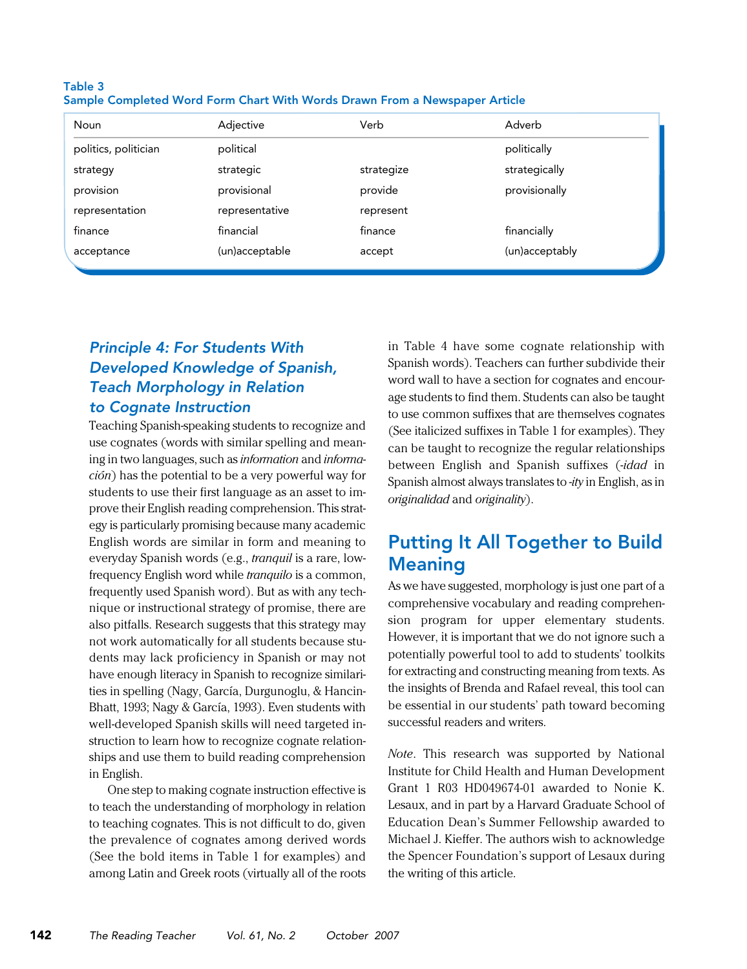| Table 3                                                                    |  |
|----------------------------------------------------------------------------|--|
| Sample Completed Word Form Chart With Words Drawn From a Newspaper Article |  |

| <b>Noun</b>          | Adjective      | Verb       | Adverb         |
|----------------------|----------------|------------|----------------|
| politics, politician | political      |            | politically    |
| strategy             | strategic      | strategize | strategically  |
| provision            | provisional    | provide    | provisionally  |
| representation       | representative | represent  |                |
| finance              | financial      | finance    | financially    |
| acceptance           | (un)acceptable | accept     | (un)acceptably |

## Principle 4: For Students With Developed Knowledge of Spanish, Teach Morphology in Relation to Cognate Instruction

Teaching Spanish-speaking students to recognize and use cognates (words with similar spelling and meaning in two languages, such as *information* and *información*) has the potential to be a very powerful way for students to use their first language as an asset to improve their English reading comprehension. This strategy is particularly promising because many academic English words are similar in form and meaning to everyday Spanish words (e.g., *tranquil* is a rare, lowfrequency English word while *tranquilo* is a common, frequently used Spanish word). But as with any technique or instructional strategy of promise, there are also pitfalls. Research suggests that this strategy may not work automatically for all students because students may lack proficiency in Spanish or may not have enough literacy in Spanish to recognize similarities in spelling (Nagy, García, Durgunoglu, & Hancin-Bhatt, 1993; Nagy & García, 1993). Even students with well-developed Spanish skills will need targeted instruction to learn how to recognize cognate relationships and use them to build reading comprehension in English.

One step to making cognate instruction effective is to teach the understanding of morphology in relation to teaching cognates. This is not difficult to do, given the prevalence of cognates among derived words (See the bold items in Table 1 for examples) and among Latin and Greek roots (virtually all of the roots

in Table 4 have some cognate relationship with Spanish words). Teachers can further subdivide their word wall to have a section for cognates and encourage students to find them. Students can also be taught to use common suffixes that are themselves cognates (See italicized suffixes in Table 1 for examples). They can be taught to recognize the regular relationships between English and Spanish suffixes (-*idad* in Spanish almost always translates to -*ity* in English, as in *originalidad* and *originality*).

# Putting It All Together to Build Meaning

As we have suggested, morphology is just one part of a comprehensive vocabulary and reading comprehension program for upper elementary students. However, it is important that we do not ignore such a potentially powerful tool to add to students' toolkits for extracting and constructing meaning from texts. As the insights of Brenda and Rafael reveal, this tool can be essential in our students' path toward becoming successful readers and writers.

*Note*. This research was supported by National Institute for Child Health and Human Development Grant 1 R03 HD049674-01 awarded to Nonie K. Lesaux, and in part by a Harvard Graduate School of Education Dean's Summer Fellowship awarded to Michael J. Kieffer. The authors wish to acknowledge the Spencer Foundation's support of Lesaux during the writing of this article.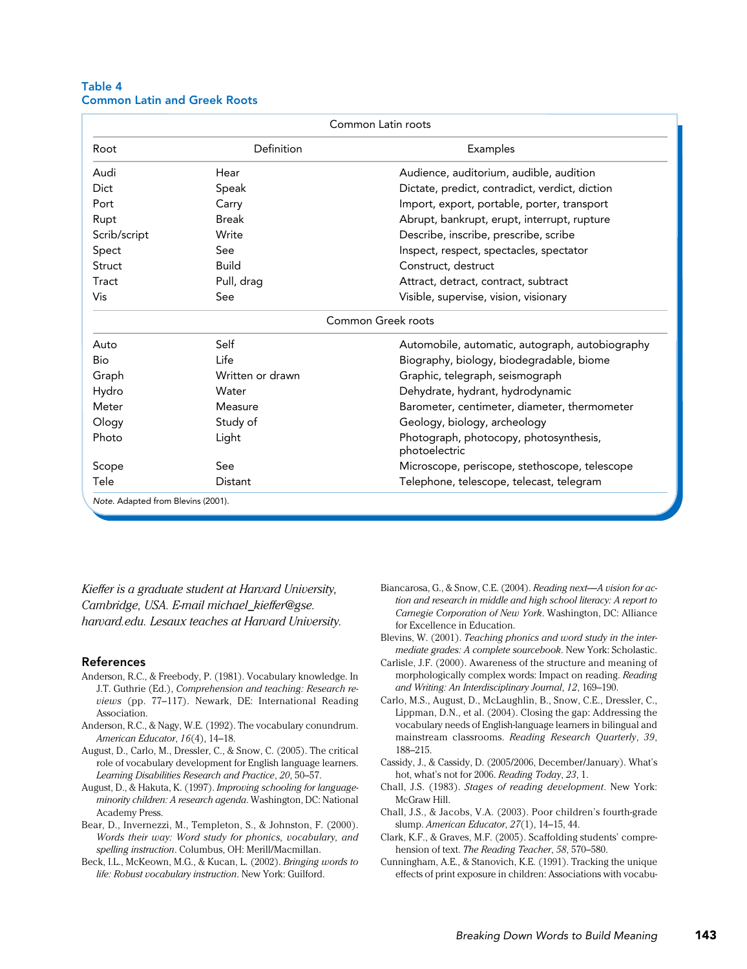#### Table 4 Common Latin and Greek Roots

| Definition<br>Root |                  | Examples                                                |  |
|--------------------|------------------|---------------------------------------------------------|--|
| Audi               | Hear             | Audience, auditorium, audible, audition                 |  |
| <b>Dict</b>        | Speak            | Dictate, predict, contradict, verdict, diction          |  |
| Port               | Carry            | Import, export, portable, porter, transport             |  |
| Rupt               | <b>Break</b>     | Abrupt, bankrupt, erupt, interrupt, rupture             |  |
| Scrib/script       | Write            | Describe, inscribe, prescribe, scribe                   |  |
| Spect              | See              | Inspect, respect, spectacles, spectator                 |  |
| Struct             | <b>Build</b>     | Construct, destruct                                     |  |
| Tract              | Pull, drag       | Attract, detract, contract, subtract                    |  |
| Vis                | See              | Visible, supervise, vision, visionary                   |  |
|                    |                  | Common Greek roots                                      |  |
| Auto               | Self             | Automobile, automatic, autograph, autobiography         |  |
| Bio                | l ife            | Biography, biology, biodegradable, biome                |  |
| Graph              | Written or drawn | Graphic, telegraph, seismograph                         |  |
| Hydro              | Water            | Dehydrate, hydrant, hydrodynamic                        |  |
| Meter              | Measure          | Barometer, centimeter, diameter, thermometer            |  |
| Ology              | Study of         | Geology, biology, archeology                            |  |
| Photo              | Light            | Photograph, photocopy, photosynthesis,<br>photoelectric |  |
| Scope              | See              | Microscope, periscope, stethoscope, telescope           |  |
| Tele               | Distant          | Telephone, telescope, telecast, telegram                |  |

*Kieffer is a graduate student at Harvard University, Cambridge, USA. E-mail michael\_kieffer@gse. harvard.edu. Lesaux teaches at Harvard University.*

#### References

- Anderson, R.C., & Freebody, P. (1981). Vocabulary knowledge. In J.T. Guthrie (Ed.), *Comprehension and teaching: Research reviews* (pp. 77–117). Newark, DE: International Reading Association.
- Anderson, R.C., & Nagy, W.E. (1992). The vocabulary conundrum. *American Educator*, *16*(4), 14–18.
- August, D., Carlo, M., Dressler, C., & Snow, C. (2005). The critical role of vocabulary development for English language learners. *Learning Disabilities Research and Practice*, *20*, 50–57.
- August, D., & Hakuta, K. (1997). *Improving schooling for languageminority children: A research agenda*. Washington, DC: National Academy Press.
- Bear, D., Invernezzi, M., Templeton, S., & Johnston, F. (2000). *Words their way: Word study for phonics, vocabulary, and spelling instruction*. Columbus, OH: Merill/Macmillan.
- Beck, I.L., McKeown, M.G., & Kucan, L. (2002). *Bringing words to life: Robust vocabulary instruction*. New York: Guilford.
- Biancarosa, G., & Snow, C.E. (2004). *Reading next—A vision for action and research in middle and high school literacy: A report to Carnegie Corporation of New York*. Washington, DC: Alliance for Excellence in Education.
- Blevins, W. (2001). *Teaching phonics and word study in the intermediate grades: A complete sourcebook*. New York: Scholastic.
- Carlisle, J.F. (2000). Awareness of the structure and meaning of morphologically complex words: Impact on reading. *Reading and Writing: An Interdisciplinary Journal*, *12*, 169–190.
- Carlo, M.S., August, D., McLaughlin, B., Snow, C.E., Dressler, C., Lippman, D.N., et al. (2004). Closing the gap: Addressing the vocabulary needs of English-language learners in bilingual and mainstream classrooms. *Reading Research Quarterly*, *39*, 188–215.
- Cassidy, J., & Cassidy, D. (2005/2006, December/January). What's hot, what's not for 2006. *Reading Today*, *23*, 1.
- Chall, J.S. (1983). *Stages of reading development*. New York: McGraw Hill.
- Chall, J.S., & Jacobs, V.A. (2003). Poor children's fourth-grade slump. *American Educator*, *27*(1), 14–15, 44.
- Clark, K.F., & Graves, M.F. (2005). Scaffolding students' comprehension of text. *The Reading Teacher*, *58*, 570–580.
- Cunningham, A.E., & Stanovich, K.E. (1991). Tracking the unique effects of print exposure in children: Associations with vocabu-